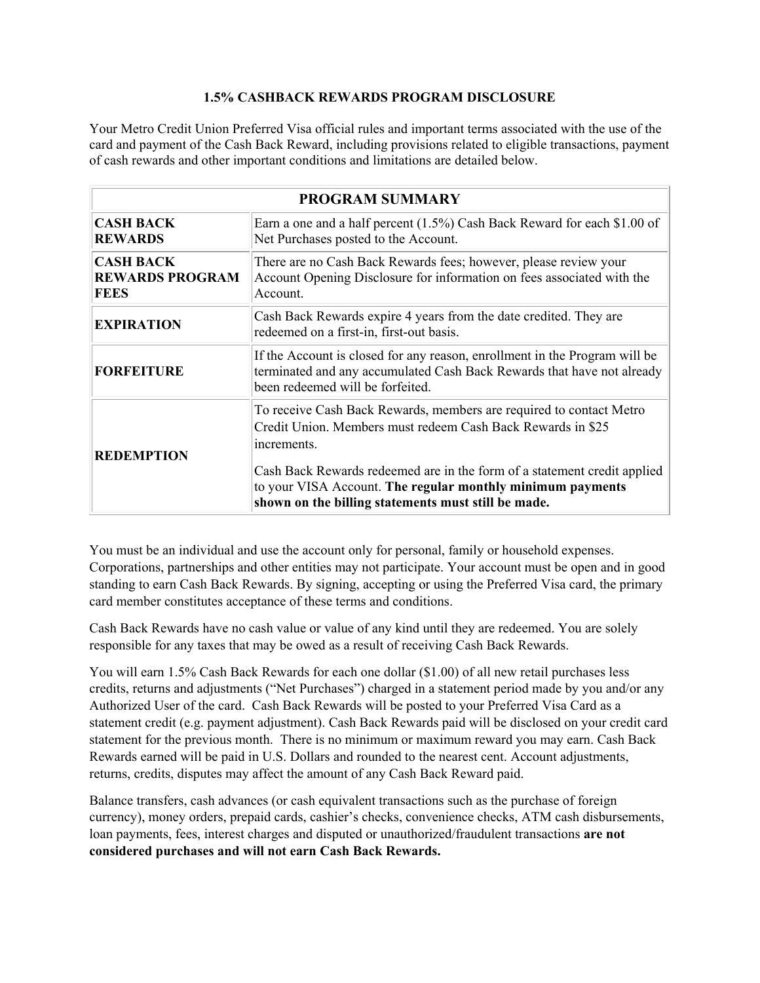## **1.5% CASHBACK REWARDS PROGRAM DISCLOSURE**

Your Metro Credit Union Preferred Visa official rules and important terms associated with the use of the card and payment of the Cash Back Reward, including provisions related to eligible transactions, payment of cash rewards and other important conditions and limitations are detailed below.

| <b>PROGRAM SUMMARY</b>                                    |                                                                                                                                                                                                                                                                                                                                                    |
|-----------------------------------------------------------|----------------------------------------------------------------------------------------------------------------------------------------------------------------------------------------------------------------------------------------------------------------------------------------------------------------------------------------------------|
| <b>CASH BACK</b><br><b>REWARDS</b>                        | Earn a one and a half percent (1.5%) Cash Back Reward for each \$1.00 of<br>Net Purchases posted to the Account.                                                                                                                                                                                                                                   |
| <b>CASH BACK</b><br><b>REWARDS PROGRAM</b><br><b>FEES</b> | There are no Cash Back Rewards fees; however, please review your<br>Account Opening Disclosure for information on fees associated with the<br>Account.                                                                                                                                                                                             |
| <b>EXPIRATION</b>                                         | Cash Back Rewards expire 4 years from the date credited. They are<br>redeemed on a first-in, first-out basis.                                                                                                                                                                                                                                      |
| <b>FORFEITURE</b>                                         | If the Account is closed for any reason, enrollment in the Program will be<br>terminated and any accumulated Cash Back Rewards that have not already<br>been redeemed will be forfeited.                                                                                                                                                           |
| <b>REDEMPTION</b>                                         | To receive Cash Back Rewards, members are required to contact Metro<br>Credit Union. Members must redeem Cash Back Rewards in \$25<br>increments.<br>Cash Back Rewards redeemed are in the form of a statement credit applied<br>to your VISA Account. The regular monthly minimum payments<br>shown on the billing statements must still be made. |

You must be an individual and use the account only for personal, family or household expenses. Corporations, partnerships and other entities may not participate. Your account must be open and in good standing to earn Cash Back Rewards. By signing, accepting or using the Preferred Visa card, the primary card member constitutes acceptance of these terms and conditions.

Cash Back Rewards have no cash value or value of any kind until they are redeemed. You are solely responsible for any taxes that may be owed as a result of receiving Cash Back Rewards.

You will earn 1.5% Cash Back Rewards for each one dollar (\$1.00) of all new retail purchases less credits, returns and adjustments ("Net Purchases") charged in a statement period made by you and/or any Authorized User of the card. Cash Back Rewards will be posted to your Preferred Visa Card as a statement credit (e.g. payment adjustment). Cash Back Rewards paid will be disclosed on your credit card statement for the previous month. There is no minimum or maximum reward you may earn. Cash Back Rewards earned will be paid in U.S. Dollars and rounded to the nearest cent. Account adjustments, returns, credits, disputes may affect the amount of any Cash Back Reward paid.

Balance transfers, cash advances (or cash equivalent transactions such as the purchase of foreign currency), money orders, prepaid cards, cashier's checks, convenience checks, ATM cash disbursements, loan payments, fees, interest charges and disputed or unauthorized/fraudulent transactions **are not considered purchases and will not earn Cash Back Rewards.**